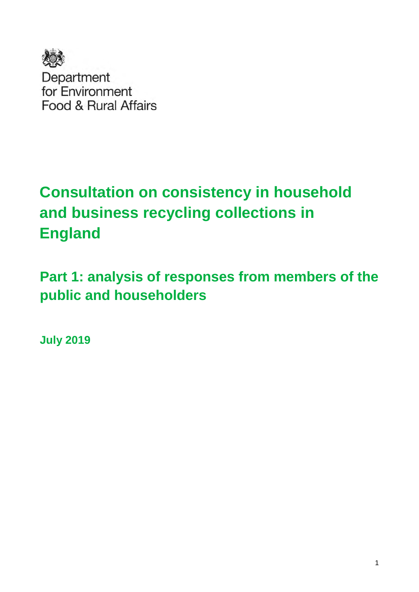

Department for Environment Food & Rural Affairs

# **Consultation on consistency in household and business recycling collections in England**

**Part 1: analysis of responses from members of the public and householders** 

**July 2019**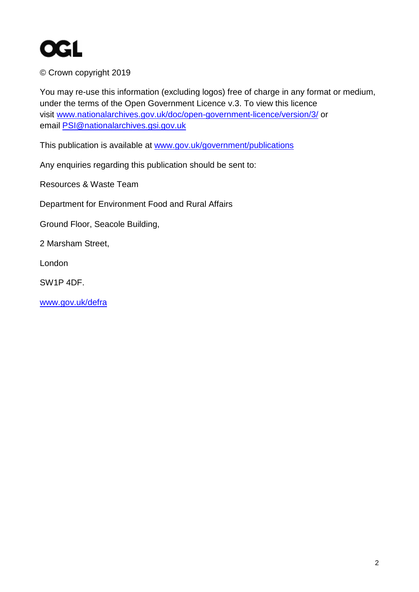

© Crown copyright 2019

You may re-use this information (excluding logos) free of charge in any format or medium, under the terms of the Open Government Licence v.3. To view this licence visit [www.nationalarchives.gov.uk/doc/open-government-licence/version/3/](http://www.nationalarchives.gov.uk/doc/open-government-licence/version/3/) or email [PSI@nationalarchives.gsi.gov.uk](mailto:PSI@nationalarchives.gsi.gov.uk) 

This publication is available at [www.gov.uk/government/publications](http://www.gov.uk/government/publications) 

Any enquiries regarding this publication should be sent to:

Resources & Waste Team

Department for Environment Food and Rural Affairs

Ground Floor, Seacole Building,

2 Marsham Street,

London

SW1P 4DF.

[www.gov.uk/defra](http://www.gov.uk/defra)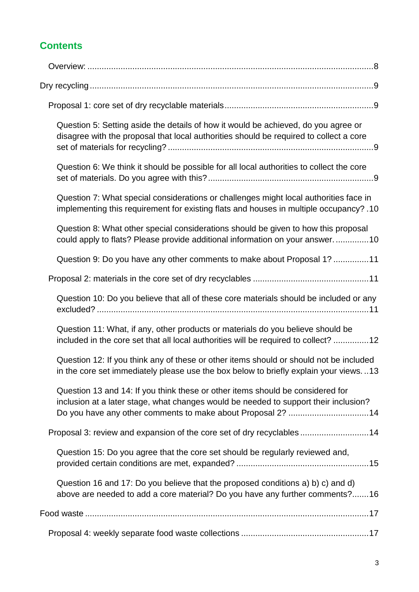# **Contents**

| Question 5: Setting aside the details of how it would be achieved, do you agree or<br>disagree with the proposal that local authorities should be required to collect a core                                                          |
|---------------------------------------------------------------------------------------------------------------------------------------------------------------------------------------------------------------------------------------|
| Question 6: We think it should be possible for all local authorities to collect the core                                                                                                                                              |
| Question 7: What special considerations or challenges might local authorities face in<br>implementing this requirement for existing flats and houses in multiple occupancy? .10                                                       |
| Question 8: What other special considerations should be given to how this proposal<br>could apply to flats? Please provide additional information on your answer. 10                                                                  |
| Question 9: Do you have any other comments to make about Proposal 1? 11                                                                                                                                                               |
|                                                                                                                                                                                                                                       |
| Question 10: Do you believe that all of these core materials should be included or any                                                                                                                                                |
| Question 11: What, if any, other products or materials do you believe should be<br>included in the core set that all local authorities will be required to collect? 12                                                                |
| Question 12: If you think any of these or other items should or should not be included<br>in the core set immediately please use the box below to briefly explain your views13                                                        |
| Question 13 and 14: If you think these or other items should be considered for<br>inclusion at a later stage, what changes would be needed to support their inclusion?<br>Do you have any other comments to make about Proposal 2? 14 |
| Proposal 3: review and expansion of the core set of dry recyclables14                                                                                                                                                                 |
| Question 15: Do you agree that the core set should be regularly reviewed and,                                                                                                                                                         |
| Question 16 and 17: Do you believe that the proposed conditions a) b) c) and d)<br>above are needed to add a core material? Do you have any further comments?16                                                                       |
|                                                                                                                                                                                                                                       |
|                                                                                                                                                                                                                                       |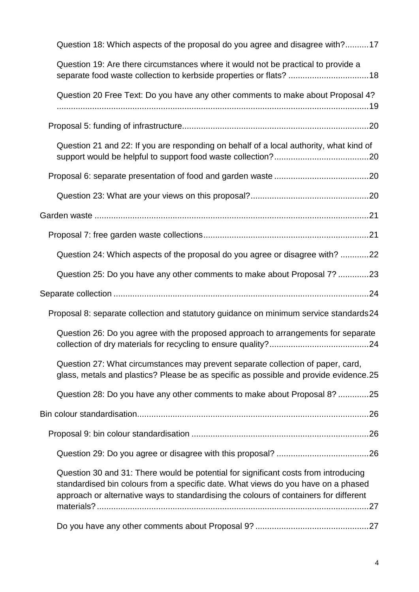| Question 18: Which aspects of the proposal do you agree and disagree with?17                                                                                                                                                                                      |  |
|-------------------------------------------------------------------------------------------------------------------------------------------------------------------------------------------------------------------------------------------------------------------|--|
| Question 19: Are there circumstances where it would not be practical to provide a<br>separate food waste collection to kerbside properties or flats?  18                                                                                                          |  |
| Question 20 Free Text: Do you have any other comments to make about Proposal 4?                                                                                                                                                                                   |  |
|                                                                                                                                                                                                                                                                   |  |
| Question 21 and 22: If you are responding on behalf of a local authority, what kind of                                                                                                                                                                            |  |
|                                                                                                                                                                                                                                                                   |  |
|                                                                                                                                                                                                                                                                   |  |
|                                                                                                                                                                                                                                                                   |  |
|                                                                                                                                                                                                                                                                   |  |
| Question 24: Which aspects of the proposal do you agree or disagree with? 22                                                                                                                                                                                      |  |
| Question 25: Do you have any other comments to make about Proposal 7? 23                                                                                                                                                                                          |  |
|                                                                                                                                                                                                                                                                   |  |
| Proposal 8: separate collection and statutory guidance on minimum service standards24                                                                                                                                                                             |  |
| Question 26: Do you agree with the proposed approach to arrangements for separate                                                                                                                                                                                 |  |
| Question 27: What circumstances may prevent separate collection of paper, card,<br>glass, metals and plastics? Please be as specific as possible and provide evidence.25                                                                                          |  |
| Question 28: Do you have any other comments to make about Proposal 8? 25                                                                                                                                                                                          |  |
|                                                                                                                                                                                                                                                                   |  |
|                                                                                                                                                                                                                                                                   |  |
|                                                                                                                                                                                                                                                                   |  |
| Question 30 and 31: There would be potential for significant costs from introducing<br>standardised bin colours from a specific date. What views do you have on a phased<br>approach or alternative ways to standardising the colours of containers for different |  |
|                                                                                                                                                                                                                                                                   |  |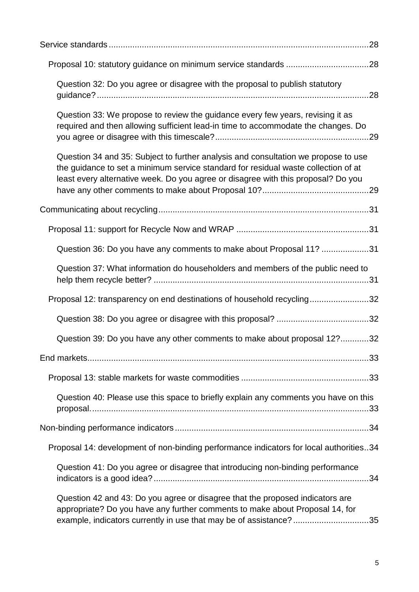| Question 32: Do you agree or disagree with the proposal to publish statutory                                                                                                                                                                                  |
|---------------------------------------------------------------------------------------------------------------------------------------------------------------------------------------------------------------------------------------------------------------|
| Question 33: We propose to review the guidance every few years, revising it as<br>required and then allowing sufficient lead-in time to accommodate the changes. Do                                                                                           |
| Question 34 and 35: Subject to further analysis and consultation we propose to use<br>the guidance to set a minimum service standard for residual waste collection of at<br>least every alternative week. Do you agree or disagree with this proposal? Do you |
|                                                                                                                                                                                                                                                               |
|                                                                                                                                                                                                                                                               |
| Question 36: Do you have any comments to make about Proposal 11? 31                                                                                                                                                                                           |
| Question 37: What information do householders and members of the public need to                                                                                                                                                                               |
| Proposal 12: transparency on end destinations of household recycling32                                                                                                                                                                                        |
|                                                                                                                                                                                                                                                               |
| Question 39: Do you have any other comments to make about proposal 12?32                                                                                                                                                                                      |
|                                                                                                                                                                                                                                                               |
|                                                                                                                                                                                                                                                               |
| Question 40: Please use this space to briefly explain any comments you have on this                                                                                                                                                                           |
|                                                                                                                                                                                                                                                               |
| Proposal 14: development of non-binding performance indicators for local authorities34                                                                                                                                                                        |
| Question 41: Do you agree or disagree that introducing non-binding performance                                                                                                                                                                                |
| Question 42 and 43: Do you agree or disagree that the proposed indicators are<br>appropriate? Do you have any further comments to make about Proposal 14, for<br>example, indicators currently in use that may be of assistance?35                            |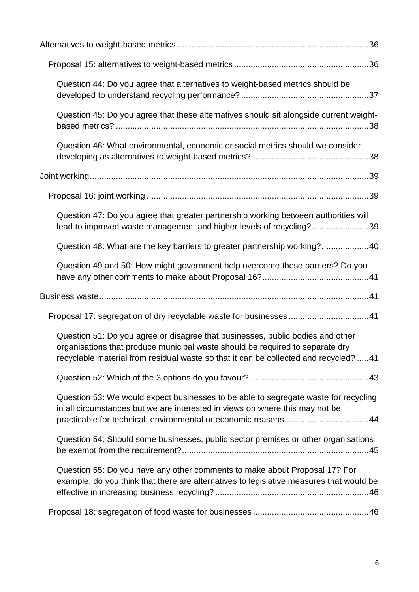| Question 44: Do you agree that alternatives to weight-based metrics should be                                                                                                                                                                           |
|---------------------------------------------------------------------------------------------------------------------------------------------------------------------------------------------------------------------------------------------------------|
| Question 45: Do you agree that these alternatives should sit alongside current weight-                                                                                                                                                                  |
| Question 46: What environmental, economic or social metrics should we consider                                                                                                                                                                          |
|                                                                                                                                                                                                                                                         |
|                                                                                                                                                                                                                                                         |
| Question 47: Do you agree that greater partnership working between authorities will<br>lead to improved waste management and higher levels of recycling?39                                                                                              |
| Question 48: What are the key barriers to greater partnership working?40                                                                                                                                                                                |
| Question 49 and 50: How might government help overcome these barriers? Do you                                                                                                                                                                           |
|                                                                                                                                                                                                                                                         |
|                                                                                                                                                                                                                                                         |
| Question 51: Do you agree or disagree that businesses, public bodies and other<br>organisations that produce municipal waste should be required to separate dry<br>recyclable material from residual waste so that it can be collected and recycled? 41 |
|                                                                                                                                                                                                                                                         |
|                                                                                                                                                                                                                                                         |
| Question 53: We would expect businesses to be able to segregate waste for recycling<br>in all circumstances but we are interested in views on where this may not be<br>practicable for technical, environmental or economic reasons. 44                 |
| Question 54: Should some businesses, public sector premises or other organisations                                                                                                                                                                      |
| Question 55: Do you have any other comments to make about Proposal 17? For<br>example, do you think that there are alternatives to legislative measures that would be                                                                                   |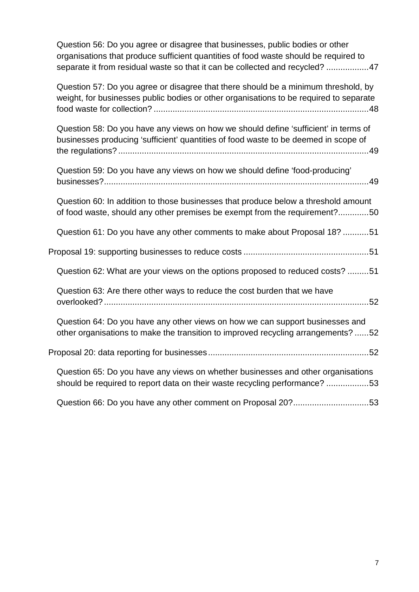| Question 56: Do you agree or disagree that businesses, public bodies or other        |  |
|--------------------------------------------------------------------------------------|--|
| organisations that produce sufficient quantities of food waste should be required to |  |
| separate it from residual waste so that it can be collected and recycled? 47         |  |

| Question 57: Do you agree or disagree that there should be a minimum threshold, by<br>weight, for businesses public bodies or other organisations to be required to separate |  |
|------------------------------------------------------------------------------------------------------------------------------------------------------------------------------|--|
| Question 58: Do you have any views on how we should define 'sufficient' in terms of<br>businesses producing 'sufficient' quantities of food waste to be deemed in scope of   |  |
| Question 59: Do you have any views on how we should define 'food-producing'                                                                                                  |  |
| Question 60: In addition to those businesses that produce below a threshold amount<br>of food waste, should any other premises be exempt from the requirement?50             |  |
| Question 61: Do you have any other comments to make about Proposal 18? 51                                                                                                    |  |
|                                                                                                                                                                              |  |
| Question 62: What are your views on the options proposed to reduced costs? 51                                                                                                |  |
| Question 63: Are there other ways to reduce the cost burden that we have                                                                                                     |  |
| Question 64: Do you have any other views on how we can support businesses and<br>other organisations to make the transition to improved recycling arrangements? 52           |  |
|                                                                                                                                                                              |  |
| Question 65: Do you have any views on whether businesses and other organisations<br>should be required to report data on their waste recycling performance? 53               |  |
| Question 66: Do you have any other comment on Proposal 20?53                                                                                                                 |  |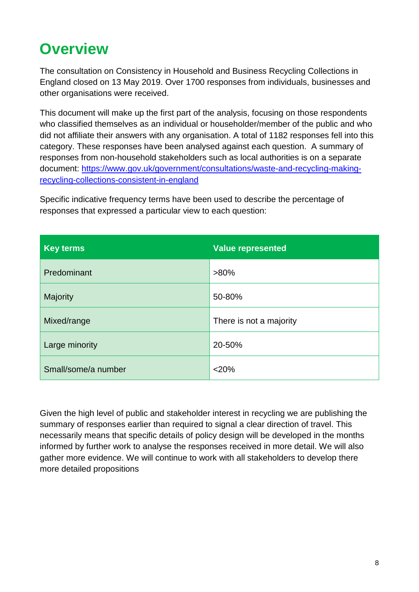# <span id="page-7-0"></span>**Overview**

The consultation on Consistency in Household and Business Recycling Collections in England closed on 13 May 2019. Over 1700 responses from individuals, businesses and other organisations were received.

This document will make up the first part of the analysis, focusing on those respondents who classified themselves as an individual or householder/member of the public and who did not affiliate their answers with any organisation. A total of 1182 responses fell into this category. These responses have been analysed against each question. A summary of responses from non-household stakeholders such as local authorities is on a separate document: [https://www.gov.uk/government/consultations/waste-and-recycling-making](https://www.gov.uk/government/consultations/waste-and-recycling-making-recycling-collections-consistent-in-england)[recycling-collections-consistent-in-england](https://www.gov.uk/government/consultations/waste-and-recycling-making-recycling-collections-consistent-in-england) 

Specific indicative frequency terms have been used to describe the percentage of responses that expressed a particular view to each question:

| <b>Key terms</b>    | <b>Value represented</b> |
|---------------------|--------------------------|
| Predominant         | $>80\%$                  |
| Majority            | 50-80%                   |
| Mixed/range         | There is not a majority  |
| Large minority      | 20-50%                   |
| Small/some/a number | $<$ 20%                  |

Given the high level of public and stakeholder interest in recycling we are publishing the summary of responses earlier than required to signal a clear direction of travel. This necessarily means that specific details of policy design will be developed in the months informed by further work to analyse the responses received in more detail. We will also gather more evidence. We will continue to work with all stakeholders to develop there more detailed propositions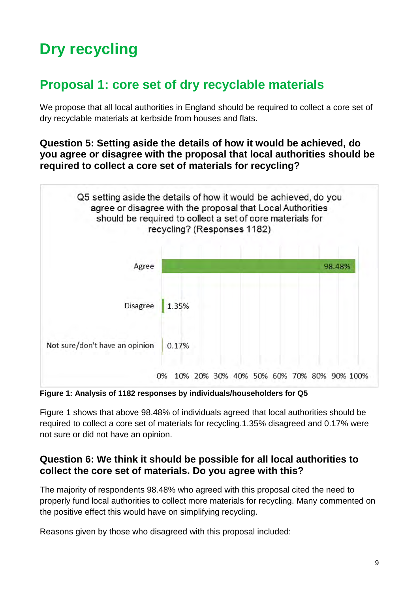# <span id="page-8-0"></span>**Dry recycling**

# <span id="page-8-1"></span>**Proposal 1: core set of dry recyclable materials**

We propose that all local authorities in England should be required to collect a core set of dry recyclable materials at kerbside from houses and flats.

### <span id="page-8-2"></span>**Question 5: Setting aside the details of how it would be achieved, do you agree or disagree with the proposal that local authorities should be required to collect a core set of materials for recycling?**



**Figure 1: Analysis of 1182 responses by individuals/householders for Q5** 

Figure 1 shows that above 98.48% of individuals agreed that local authorities should be required to collect a core set of materials for recycling.1.35% disagreed and 0.17% were not sure or did not have an opinion.

### <span id="page-8-3"></span>**Question 6: We think it should be possible for all local authorities to collect the core set of materials. Do you agree with this?**

The majority of respondents 98.48% who agreed with this proposal cited the need to properly fund local authorities to collect more materials for recycling. Many commented on the positive effect this would have on simplifying recycling.

Reasons given by those who disagreed with this proposal included: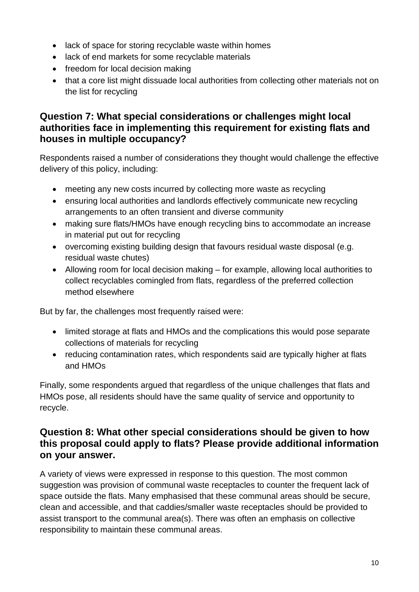- lack of space for storing recyclable waste within homes
- lack of end markets for some recyclable materials
- freedom for local decision making
- that a core list might dissuade local authorities from collecting other materials not on the list for recycling

### <span id="page-9-0"></span>**Question 7: What special considerations or challenges might local authorities face in implementing this requirement for existing flats and houses in multiple occupancy?**

Respondents raised a number of considerations they thought would challenge the effective delivery of this policy, including:

- meeting any new costs incurred by collecting more waste as recycling
- ensuring local authorities and landlords effectively communicate new recycling arrangements to an often transient and diverse community
- making sure flats/HMOs have enough recycling bins to accommodate an increase in material put out for recycling
- overcoming existing building design that favours residual waste disposal (e.g. residual waste chutes)
- Allowing room for local decision making for example, allowing local authorities to collect recyclables comingled from flats, regardless of the preferred collection method elsewhere

But by far, the challenges most frequently raised were:

- limited storage at flats and HMOs and the complications this would pose separate collections of materials for recycling
- reducing contamination rates, which respondents said are typically higher at flats and HMOs

Finally, some respondents argued that regardless of the unique challenges that flats and HMOs pose, all residents should have the same quality of service and opportunity to recycle.

### <span id="page-9-1"></span>**Question 8: What other special considerations should be given to how this proposal could apply to flats? Please provide additional information on your answer.**

A variety of views were expressed in response to this question. The most common suggestion was provision of communal waste receptacles to counter the frequent lack of space outside the flats. Many emphasised that these communal areas should be secure, clean and accessible, and that caddies/smaller waste receptacles should be provided to assist transport to the communal area(s). There was often an emphasis on collective responsibility to maintain these communal areas.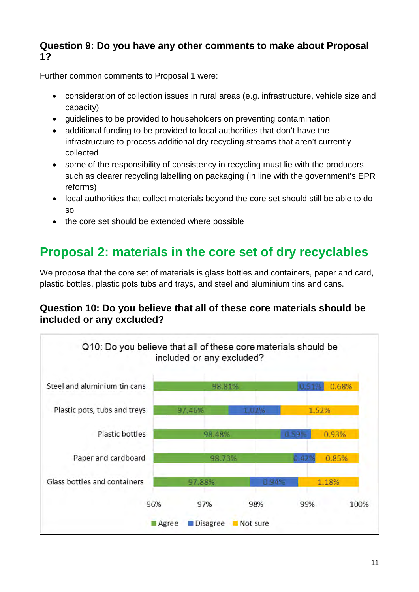## <span id="page-10-0"></span>**Question 9: Do you have any other comments to make about Proposal 1?**

Further common comments to Proposal 1 were:

- consideration of collection issues in rural areas (e.g. infrastructure, vehicle size and capacity)
- guidelines to be provided to householders on preventing contamination
- additional funding to be provided to local authorities that don't have the infrastructure to process additional dry recycling streams that aren't currently collected
- some of the responsibility of consistency in recycling must lie with the producers, such as clearer recycling labelling on packaging (in line with the government's EPR reforms)
- local authorities that collect materials beyond the core set should still be able to do so
- the core set should be extended where possible

# <span id="page-10-1"></span>**Proposal 2: materials in the core set of dry recyclables**

We propose that the core set of materials is glass bottles and containers, paper and card, plastic bottles, plastic pots tubs and trays, and steel and aluminium tins and cans.

# <span id="page-10-2"></span>**Question 10: Do you believe that all of these core materials should be included or any excluded?**

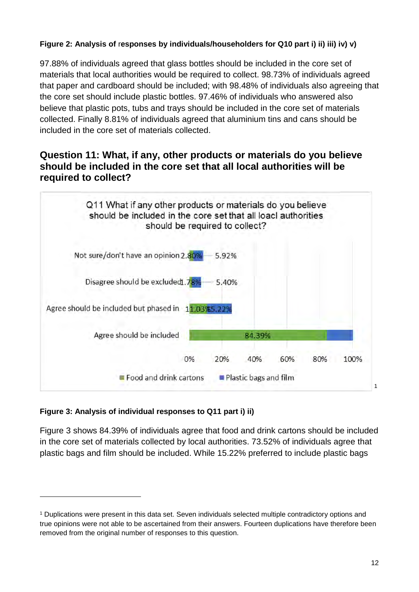#### **Figure 2: Analysis of** r**esponses by individuals/householders for Q10 part i) ii) iii) iv) v)**

97.88% of individuals agreed that glass bottles should be included in the core set of materials that local authorities would be required to collect. 98.73% of individuals agreed that paper and cardboard should be included; with 98.48% of individuals also agreeing that the core set should include plastic bottles. 97.46% of individuals who answered also believe that plastic pots, tubs and trays should be included in the core set of materials collected. Finally 8.81% of individuals agreed that aluminium tins and cans should be included in the core set of materials collected.

## <span id="page-11-0"></span>**Question 11: What, if any, other products or materials do you believe should be included in the core set that all local authorities will be required to collect?**



#### **Figure 3: Analysis of individual responses to Q11 part i) ii)**

-

Figure 3 shows 84.39% of individuals agree that food and drink cartons should be included in the core set of materials collected by local authorities. 73.52% of individuals agree that plastic bags and film should be included. While 15.22% preferred to include plastic bags

<span id="page-11-1"></span><sup>1</sup> Duplications were present in this data set. Seven individuals selected multiple contradictory options and true opinions were not able to be ascertained from their answers. Fourteen duplications have therefore been removed from the original number of responses to this question.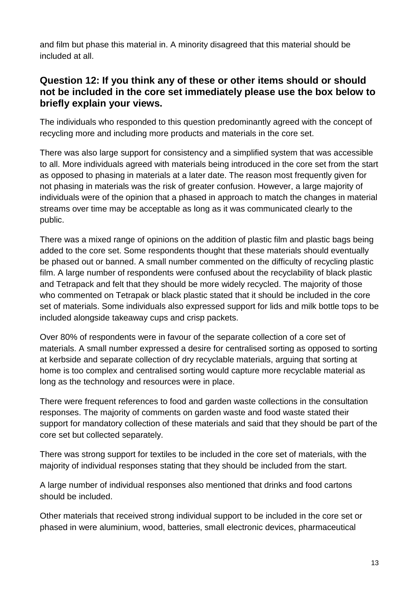and film but phase this material in. A minority disagreed that this material should be included at all.

## <span id="page-12-0"></span>**Question 12: If you think any of these or other items should or should not be included in the core set immediately please use the box below to briefly explain your views.**

The individuals who responded to this question predominantly agreed with the concept of recycling more and including more products and materials in the core set.

There was also large support for consistency and a simplified system that was accessible to all. More individuals agreed with materials being introduced in the core set from the start as opposed to phasing in materials at a later date. The reason most frequently given for not phasing in materials was the risk of greater confusion. However, a large majority of individuals were of the opinion that a phased in approach to match the changes in material streams over time may be acceptable as long as it was communicated clearly to the public.

There was a mixed range of opinions on the addition of plastic film and plastic bags being added to the core set. Some respondents thought that these materials should eventually be phased out or banned. A small number commented on the difficulty of recycling plastic film. A large number of respondents were confused about the recyclability of black plastic and Tetrapack and felt that they should be more widely recycled. The majority of those who commented on Tetrapak or black plastic stated that it should be included in the core set of materials. Some individuals also expressed support for lids and milk bottle tops to be included alongside takeaway cups and crisp packets.

Over 80% of respondents were in favour of the separate collection of a core set of materials. A small number expressed a desire for centralised sorting as opposed to sorting at kerbside and separate collection of dry recyclable materials, arguing that sorting at home is too complex and centralised sorting would capture more recyclable material as long as the technology and resources were in place.

There were frequent references to food and garden waste collections in the consultation responses. The majority of comments on garden waste and food waste stated their support for mandatory collection of these materials and said that they should be part of the core set but collected separately.

There was strong support for textiles to be included in the core set of materials, with the majority of individual responses stating that they should be included from the start.

A large number of individual responses also mentioned that drinks and food cartons should be included.

Other materials that received strong individual support to be included in the core set or phased in were aluminium, wood, batteries, small electronic devices, pharmaceutical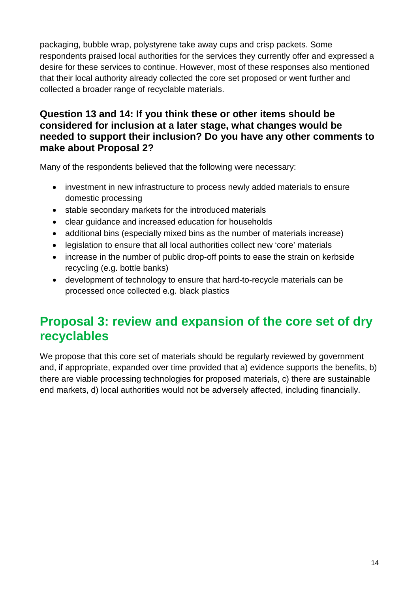packaging, bubble wrap, polystyrene take away cups and crisp packets. Some respondents praised local authorities for the services they currently offer and expressed a desire for these services to continue. However, most of these responses also mentioned that their local authority already collected the core set proposed or went further and collected a broader range of recyclable materials.

## <span id="page-13-0"></span>**Question 13 and 14: If you think these or other items should be considered for inclusion at a later stage, what changes would be needed to support their inclusion? Do you have any other comments to make about Proposal 2?**

Many of the respondents believed that the following were necessary:

- investment in new infrastructure to process newly added materials to ensure domestic processing
- stable secondary markets for the introduced materials
- clear guidance and increased education for households
- additional bins (especially mixed bins as the number of materials increase)
- legislation to ensure that all local authorities collect new 'core' materials
- increase in the number of public drop-off points to ease the strain on kerbside recycling (e.g. bottle banks)
- development of technology to ensure that hard-to-recycle materials can be processed once collected e.g. black plastics

# <span id="page-13-1"></span>**Proposal 3: review and expansion of the core set of dry recyclables**

We propose that this core set of materials should be regularly reviewed by government and, if appropriate, expanded over time provided that a) evidence supports the benefits, b) there are viable processing technologies for proposed materials, c) there are sustainable end markets, d) local authorities would not be adversely affected, including financially.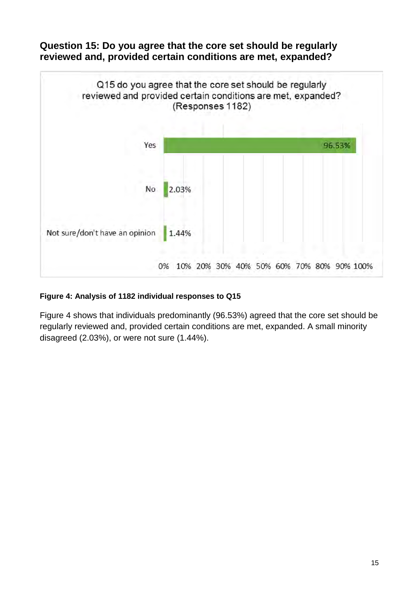<span id="page-14-0"></span>



#### **Figure 4: Analysis of 1182 individual responses to Q15**

Figure 4 shows that individuals predominantly (96.53%) agreed that the core set should be regularly reviewed and, provided certain conditions are met, expanded. A small minority disagreed (2.03%), or were not sure (1.44%).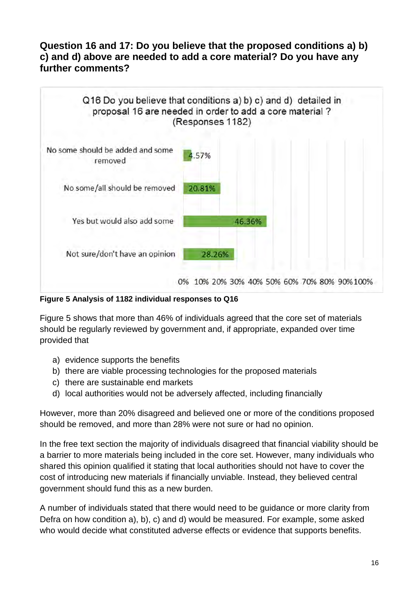### <span id="page-15-0"></span>**Question 16 and 17: Do you believe that the proposed conditions a) b) c) and d) above are needed to add a core material? Do you have any further comments?**



**Figure 5 Analysis of 1182 individual responses to Q16**

Figure 5 shows that more than 46% of individuals agreed that the core set of materials should be regularly reviewed by government and, if appropriate, expanded over time provided that

- a) evidence supports the benefits
- b) there are viable processing technologies for the proposed materials
- c) there are sustainable end markets
- d) local authorities would not be adversely affected, including financially

However, more than 20% disagreed and believed one or more of the conditions proposed should be removed, and more than 28% were not sure or had no opinion.

In the free text section the majority of individuals disagreed that financial viability should be a barrier to more materials being included in the core set. However, many individuals who shared this opinion qualified it stating that local authorities should not have to cover the cost of introducing new materials if financially unviable. Instead, they believed central government should fund this as a new burden.

A number of individuals stated that there would need to be guidance or more clarity from Defra on how condition a), b), c) and d) would be measured. For example, some asked who would decide what constituted adverse effects or evidence that supports benefits.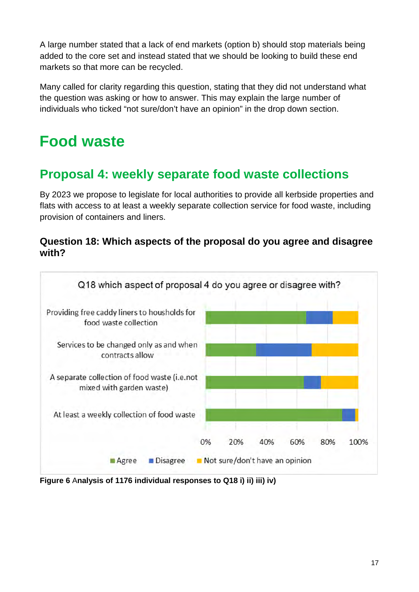A large number stated that a lack of end markets (option b) should stop materials being added to the core set and instead stated that we should be looking to build these end markets so that more can be recycled.

Many called for clarity regarding this question, stating that they did not understand what the question was asking or how to answer. This may explain the large number of individuals who ticked "not sure/don't have an opinion" in the drop down section.

# <span id="page-16-0"></span>**Food waste**

# <span id="page-16-1"></span>**Proposal 4: weekly separate food waste collections**

By 2023 we propose to legislate for local authorities to provide all kerbside properties and flats with access to at least a weekly separate collection service for food waste, including provision of containers and liners.

## <span id="page-16-2"></span>**Question 18: Which aspects of the proposal do you agree and disagree with?**



**Figure 6** A**nalysis of 1176 individual responses to Q18 i) ii) iii) iv)**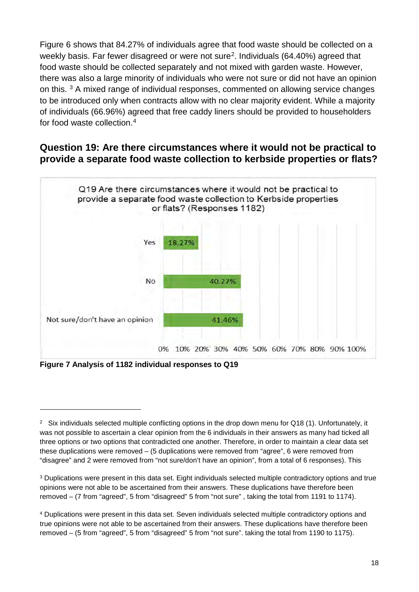Figure 6 shows that 84.27% of individuals agree that food waste should be collected on a weekly basis. Far fewer disagreed or were not sure<sup>[2](#page-17-1)</sup>. Individuals (64.40%) agreed that food waste should be collected separately and not mixed with garden waste. However, there was also a large minority of individuals who were not sure or did not have an opinion on this. **[3](#page-17-2)** A mixed range of individual responses, commented on allowing service changes to be introduced only when contracts allow with no clear majority evident. While a majority of individuals (66.96%) agreed that free caddy liners should be provided to householders for food waste collection.[4](#page-17-3)

# <span id="page-17-0"></span>**Question 19: Are there circumstances where it would not be practical to provide a separate food waste collection to kerbside properties or flats?**



**Figure 7 Analysis of 1182 individual responses to Q19**

-

<span id="page-17-1"></span><sup>&</sup>lt;sup>2</sup> Six individuals selected multiple conflicting options in the drop down menu for Q18 (1). Unfortunately, it was not possible to ascertain a clear opinion from the 6 individuals in their answers as many had ticked all three options or two options that contradicted one another. Therefore, in order to maintain a clear data set these duplications were removed – (5 duplications were removed from "agree", 6 were removed from "disagree" and 2 were removed from "not sure/don't have an opinion", from a total of 6 responses). This

<span id="page-17-2"></span><sup>3</sup> Duplications were present in this data set. Eight individuals selected multiple contradictory options and true opinions were not able to be ascertained from their answers. These duplications have therefore been removed – (7 from "agreed", 5 from "disagreed" 5 from "not sure" , taking the total from 1191 to 1174).

<span id="page-17-3"></span><sup>4</sup> Duplications were present in this data set. Seven individuals selected multiple contradictory options and true opinions were not able to be ascertained from their answers. These duplications have therefore been removed – (5 from "agreed", 5 from "disagreed" 5 from "not sure". taking the total from 1190 to 1175).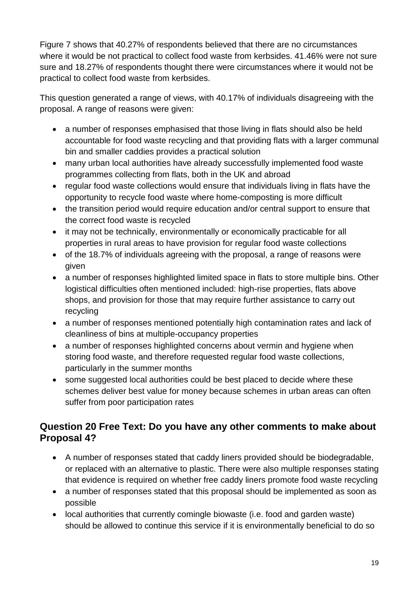Figure 7 shows that 40.27% of respondents believed that there are no circumstances where it would be not practical to collect food waste from kerbsides. 41.46% were not sure sure and 18.27% of respondents thought there were circumstances where it would not be practical to collect food waste from kerbsides.

This question generated a range of views, with 40.17% of individuals disagreeing with the proposal. A range of reasons were given:

- a number of responses emphasised that those living in flats should also be held accountable for food waste recycling and that providing flats with a larger communal bin and smaller caddies provides a practical solution
- many urban local authorities have already successfully implemented food waste programmes collecting from flats, both in the UK and abroad
- regular food waste collections would ensure that individuals living in flats have the opportunity to recycle food waste where home-composting is more difficult
- the transition period would require education and/or central support to ensure that the correct food waste is recycled
- it may not be technically, environmentally or economically practicable for all properties in rural areas to have provision for regular food waste collections
- of the 18.7% of individuals agreeing with the proposal, a range of reasons were given
- a number of responses highlighted limited space in flats to store multiple bins. Other logistical difficulties often mentioned included: high-rise properties, flats above shops, and provision for those that may require further assistance to carry out recycling
- a number of responses mentioned potentially high contamination rates and lack of cleanliness of bins at multiple-occupancy properties
- a number of responses highlighted concerns about vermin and hygiene when storing food waste, and therefore requested regular food waste collections, particularly in the summer months
- some suggested local authorities could be best placed to decide where these schemes deliver best value for money because schemes in urban areas can often suffer from poor participation rates

# <span id="page-18-0"></span>**Question 20 Free Text: Do you have any other comments to make about Proposal 4?**

- A number of responses stated that caddy liners provided should be biodegradable, or replaced with an alternative to plastic. There were also multiple responses stating that evidence is required on whether free caddy liners promote food waste recycling
- a number of responses stated that this proposal should be implemented as soon as possible
- local authorities that currently comingle biowaste (i.e. food and garden waste) should be allowed to continue this service if it is environmentally beneficial to do so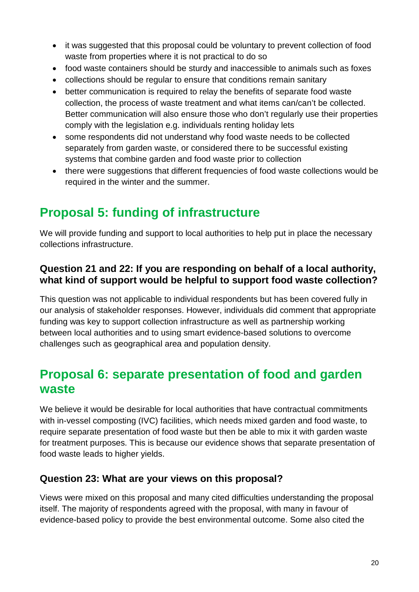- it was suggested that this proposal could be voluntary to prevent collection of food waste from properties where it is not practical to do so
- food waste containers should be sturdy and inaccessible to animals such as foxes
- collections should be regular to ensure that conditions remain sanitary
- better communication is required to relay the benefits of separate food waste collection, the process of waste treatment and what items can/can't be collected. Better communication will also ensure those who don't regularly use their properties comply with the legislation e.g. individuals renting holiday lets
- some respondents did not understand why food waste needs to be collected separately from garden waste, or considered there to be successful existing systems that combine garden and food waste prior to collection
- there were suggestions that different frequencies of food waste collections would be required in the winter and the summer.

# <span id="page-19-0"></span>**Proposal 5: funding of infrastructure**

We will provide funding and support to local authorities to help put in place the necessary collections infrastructure.

## <span id="page-19-1"></span>**Question 21 and 22: If you are responding on behalf of a local authority, what kind of support would be helpful to support food waste collection?**

This question was not applicable to individual respondents but has been covered fully in our analysis of stakeholder responses. However, individuals did comment that appropriate funding was key to support collection infrastructure as well as partnership working between local authorities and to using smart evidence-based solutions to overcome challenges such as geographical area and population density.

# <span id="page-19-2"></span>**Proposal 6: separate presentation of food and garden waste**

We believe it would be desirable for local authorities that have contractual commitments with in-vessel composting (IVC) facilities, which needs mixed garden and food waste, to require separate presentation of food waste but then be able to mix it with garden waste for treatment purposes. This is because our evidence shows that separate presentation of food waste leads to higher yields.

# <span id="page-19-3"></span>**Question 23: What are your views on this proposal?**

Views were mixed on this proposal and many cited difficulties understanding the proposal itself. The majority of respondents agreed with the proposal, with many in favour of evidence-based policy to provide the best environmental outcome. Some also cited the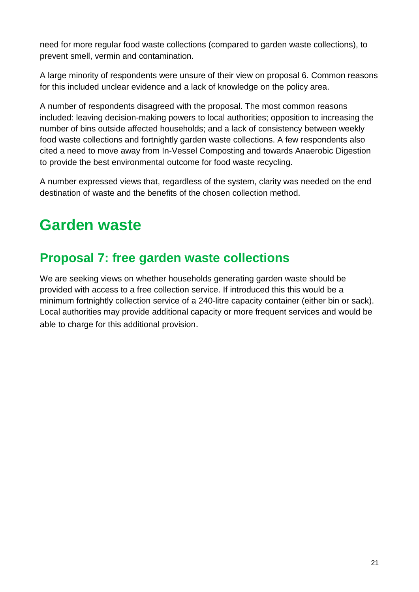need for more regular food waste collections (compared to garden waste collections), to prevent smell, vermin and contamination.

A large minority of respondents were unsure of their view on proposal 6. Common reasons for this included unclear evidence and a lack of knowledge on the policy area.

A number of respondents disagreed with the proposal. The most common reasons included: leaving decision-making powers to local authorities; opposition to increasing the number of bins outside affected households; and a lack of consistency between weekly food waste collections and fortnightly garden waste collections. A few respondents also cited a need to move away from In-Vessel Composting and towards Anaerobic Digestion to provide the best environmental outcome for food waste recycling.

A number expressed views that, regardless of the system, clarity was needed on the end destination of waste and the benefits of the chosen collection method.

# <span id="page-20-0"></span>**Garden waste**

# <span id="page-20-1"></span>**Proposal 7: free garden waste collections**

We are seeking views on whether households generating garden waste should be provided with access to a free collection service. If introduced this this would be a minimum fortnightly collection service of a 240-litre capacity container (either bin or sack). Local authorities may provide additional capacity or more frequent services and would be able to charge for this additional provision.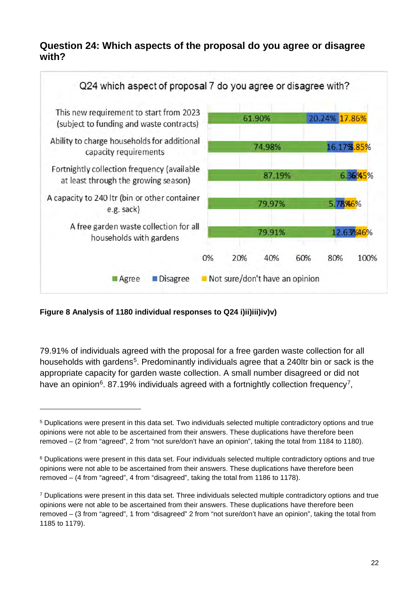## <span id="page-21-0"></span>**Question 24: Which aspects of the proposal do you agree or disagree with?**



**Figure 8 Analysis of 1180 individual responses to Q24 i)ii)iii)iv)v)**

-

79.91% of individuals agreed with the proposal for a free garden waste collection for all households with gardens<sup>[5](#page-21-1)</sup>. Predominantly individuals agree that a 240ltr bin or sack is the appropriate capacity for garden waste collection. A small number disagreed or did not have an opinion<sup>[6](#page-21-2)</sup>. 8[7](#page-21-3).19% individuals agreed with a fortnightly collection frequency<sup>7</sup>,

<span id="page-21-1"></span><sup>5</sup> Duplications were present in this data set. Two individuals selected multiple contradictory options and true opinions were not able to be ascertained from their answers. These duplications have therefore been removed – (2 from "agreed", 2 from "not sure/don't have an opinion", taking the total from 1184 to 1180).

<span id="page-21-2"></span><sup>6</sup> Duplications were present in this data set. Four individuals selected multiple contradictory options and true opinions were not able to be ascertained from their answers. These duplications have therefore been removed – (4 from "agreed", 4 from "disagreed", taking the total from 1186 to 1178).

<span id="page-21-3"></span><sup>7</sup> Duplications were present in this data set. Three individuals selected multiple contradictory options and true opinions were not able to be ascertained from their answers. These duplications have therefore been removed – (3 from "agreed", 1 from "disagreed" 2 from "not sure/don't have an opinion", taking the total from 1185 to 1179).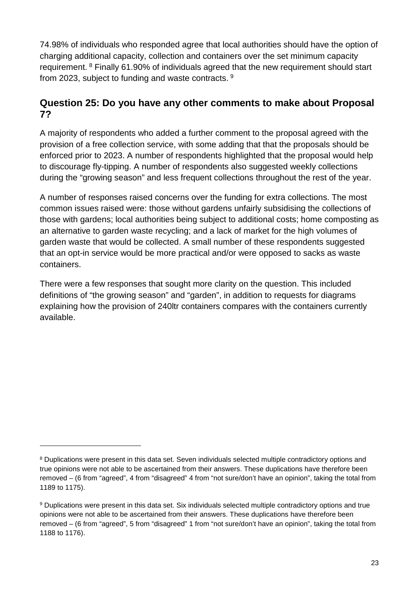74.98% of individuals who responded agree that local authorities should have the option of charging additional capacity, collection and containers over the set minimum capacity requirement. [8](#page-22-1) Finally 61.90% of individuals agreed that the new requirement should start from 2023, subject to funding and waste contracts. [9](#page-22-2)

### <span id="page-22-0"></span>**Question 25: Do you have any other comments to make about Proposal 7?**

A majority of respondents who added a further comment to the proposal agreed with the provision of a free collection service, with some adding that that the proposals should be enforced prior to 2023. A number of respondents highlighted that the proposal would help to discourage fly-tipping. A number of respondents also suggested weekly collections during the "growing season" and less frequent collections throughout the rest of the year.

A number of responses raised concerns over the funding for extra collections. The most common issues raised were: those without gardens unfairly subsidising the collections of those with gardens; local authorities being subject to additional costs; home composting as an alternative to garden waste recycling; and a lack of market for the high volumes of garden waste that would be collected. A small number of these respondents suggested that an opt-in service would be more practical and/or were opposed to sacks as waste containers.

There were a few responses that sought more clarity on the question. This included definitions of "the growing season" and "garden", in addition to requests for diagrams explaining how the provision of 240ltr containers compares with the containers currently available.

-

<span id="page-22-1"></span><sup>8</sup> Duplications were present in this data set. Seven individuals selected multiple contradictory options and true opinions were not able to be ascertained from their answers. These duplications have therefore been removed – (6 from "agreed", 4 from "disagreed" 4 from "not sure/don't have an opinion", taking the total from 1189 to 1175).

<span id="page-22-2"></span><sup>9</sup> Duplications were present in this data set. Six individuals selected multiple contradictory options and true opinions were not able to be ascertained from their answers. These duplications have therefore been removed – (6 from "agreed", 5 from "disagreed" 1 from "not sure/don't have an opinion", taking the total from 1188 to 1176).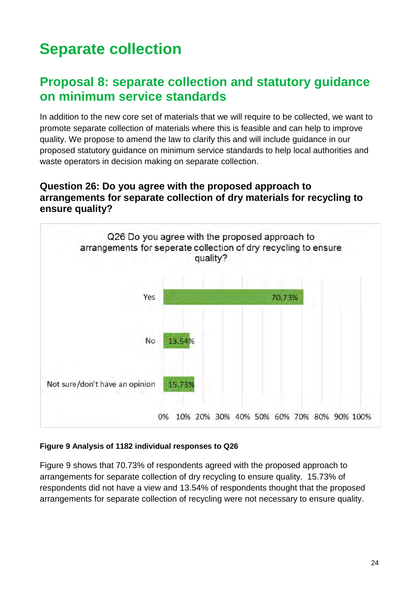# <span id="page-23-0"></span>**Separate collection**

# <span id="page-23-1"></span>**Proposal 8: separate collection and statutory guidance on minimum service standards**

In addition to the new core set of materials that we will require to be collected, we want to promote separate collection of materials where this is feasible and can help to improve quality. We propose to amend the law to clarify this and will include guidance in our proposed statutory guidance on minimum service standards to help local authorities and waste operators in decision making on separate collection.

### <span id="page-23-2"></span>**Question 26: Do you agree with the proposed approach to arrangements for separate collection of dry materials for recycling to ensure quality?**



#### **Figure 9 Analysis of 1182 individual responses to Q26**

Figure 9 shows that 70.73% of respondents agreed with the proposed approach to arrangements for separate collection of dry recycling to ensure quality. 15.73% of respondents did not have a view and 13.54% of respondents thought that the proposed arrangements for separate collection of recycling were not necessary to ensure quality.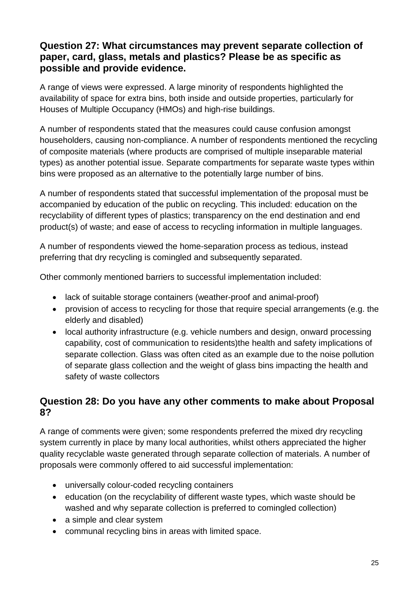## <span id="page-24-0"></span>**Question 27: What circumstances may prevent separate collection of paper, card, glass, metals and plastics? Please be as specific as possible and provide evidence.**

A range of views were expressed. A large minority of respondents highlighted the availability of space for extra bins, both inside and outside properties, particularly for Houses of Multiple Occupancy (HMOs) and high-rise buildings.

A number of respondents stated that the measures could cause confusion amongst householders, causing non-compliance. A number of respondents mentioned the recycling of composite materials (where products are comprised of multiple inseparable material types) as another potential issue. Separate compartments for separate waste types within bins were proposed as an alternative to the potentially large number of bins.

A number of respondents stated that successful implementation of the proposal must be accompanied by education of the public on recycling. This included: education on the recyclability of different types of plastics; transparency on the end destination and end product(s) of waste; and ease of access to recycling information in multiple languages.

A number of respondents viewed the home-separation process as tedious, instead preferring that dry recycling is comingled and subsequently separated.

Other commonly mentioned barriers to successful implementation included:

- lack of suitable storage containers (weather-proof and animal-proof)
- provision of access to recycling for those that require special arrangements (e.g. the elderly and disabled)
- local authority infrastructure (e.g. vehicle numbers and design, onward processing capability, cost of communication to residents)the health and safety implications of separate collection. Glass was often cited as an example due to the noise pollution of separate glass collection and the weight of glass bins impacting the health and safety of waste collectors

## <span id="page-24-1"></span>**Question 28: Do you have any other comments to make about Proposal 8?**

A range of comments were given; some respondents preferred the mixed dry recycling system currently in place by many local authorities, whilst others appreciated the higher quality recyclable waste generated through separate collection of materials. A number of proposals were commonly offered to aid successful implementation:

- universally colour-coded recycling containers
- education (on the recyclability of different waste types, which waste should be washed and why separate collection is preferred to comingled collection)
- a simple and clear system
- communal recycling bins in areas with limited space.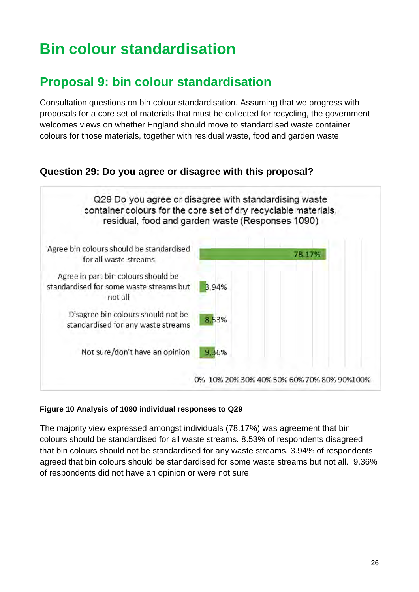# <span id="page-25-0"></span>**Bin colour standardisation**

# <span id="page-25-1"></span>**Proposal 9: bin colour standardisation**

Consultation questions on bin colour standardisation. Assuming that we progress with proposals for a core set of materials that must be collected for recycling, the government welcomes views on whether England should move to standardised waste container colours for those materials, together with residual waste, food and garden waste.

# <span id="page-25-2"></span>**Question 29: Do you agree or disagree with this proposal?**



#### **Figure 10 Analysis of 1090 individual responses to Q29**

The majority view expressed amongst individuals (78.17%) was agreement that bin colours should be standardised for all waste streams. 8.53% of respondents disagreed that bin colours should not be standardised for any waste streams. 3.94% of respondents agreed that bin colours should be standardised for some waste streams but not all. 9.36% of respondents did not have an opinion or were not sure.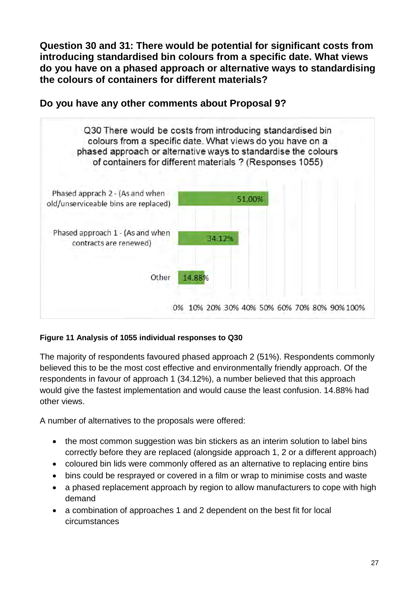<span id="page-26-0"></span>**Question 30 and 31: There would be potential for significant costs from introducing standardised bin colours from a specific date. What views do you have on a phased approach or alternative ways to standardising the colours of containers for different materials?**



<span id="page-26-1"></span>**Do you have any other comments about Proposal 9?**

#### **Figure 11 Analysis of 1055 individual responses to Q30**

The majority of respondents favoured phased approach 2 (51%). Respondents commonly believed this to be the most cost effective and environmentally friendly approach. Of the respondents in favour of approach 1 (34.12%), a number believed that this approach would give the fastest implementation and would cause the least confusion. 14.88% had other views.

A number of alternatives to the proposals were offered:

- the most common suggestion was bin stickers as an interim solution to label bins correctly before they are replaced (alongside approach 1, 2 or a different approach)
- coloured bin lids were commonly offered as an alternative to replacing entire bins
- bins could be resprayed or covered in a film or wrap to minimise costs and waste
- a phased replacement approach by region to allow manufacturers to cope with high demand
- a combination of approaches 1 and 2 dependent on the best fit for local circumstances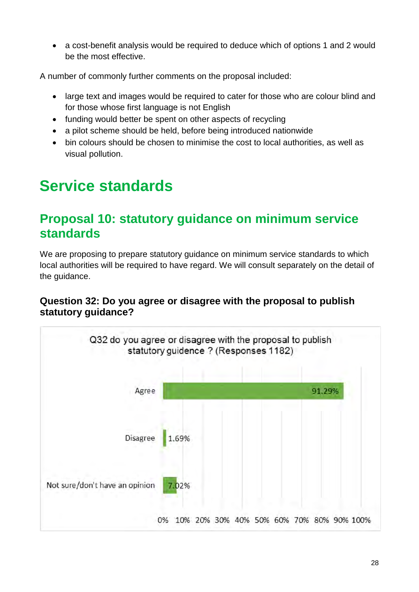• a cost-benefit analysis would be required to deduce which of options 1 and 2 would be the most effective.

A number of commonly further comments on the proposal included:

- large text and images would be required to cater for those who are colour blind and for those whose first language is not English
- funding would better be spent on other aspects of recycling
- a pilot scheme should be held, before being introduced nationwide
- bin colours should be chosen to minimise the cost to local authorities, as well as visual pollution.

# <span id="page-27-0"></span>**Service standards**

# <span id="page-27-1"></span>**Proposal 10: statutory guidance on minimum service standards**

We are proposing to prepare statutory guidance on minimum service standards to which local authorities will be required to have regard. We will consult separately on the detail of the guidance.

## <span id="page-27-2"></span>**Question 32: Do you agree or disagree with the proposal to publish statutory guidance?**

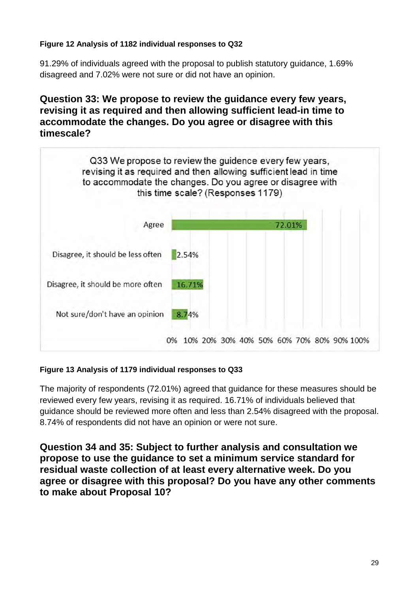#### **Figure 12 Analysis of 1182 individual responses to Q32**

91.29% of individuals agreed with the proposal to publish statutory guidance, 1.69% disagreed and 7.02% were not sure or did not have an opinion.

## <span id="page-28-0"></span>**Question 33: We propose to review the guidance every few years, revising it as required and then allowing sufficient lead-in time to accommodate the changes. Do you agree or disagree with this timescale?**



#### **Figure 13 Analysis of 1179 individual responses to Q33**

The majority of respondents (72.01%) agreed that guidance for these measures should be reviewed every few years, revising it as required. 16.71% of individuals believed that guidance should be reviewed more often and less than 2.54% disagreed with the proposal. 8.74% of respondents did not have an opinion or were not sure.

<span id="page-28-1"></span>**Question 34 and 35: Subject to further analysis and consultation we propose to use the guidance to set a minimum service standard for residual waste collection of at least every alternative week. Do you agree or disagree with this proposal? Do you have any other comments to make about Proposal 10?**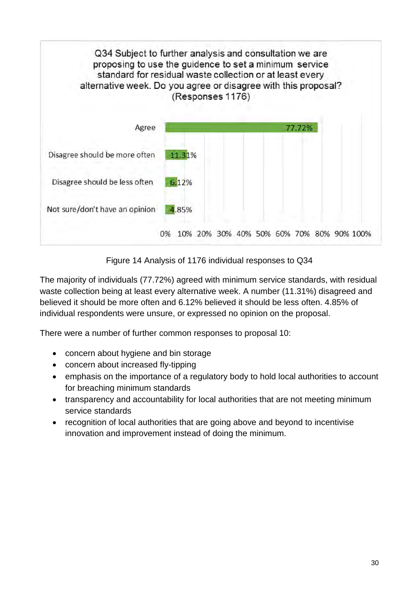

Figure 14 Analysis of 1176 individual responses to Q34

The majority of individuals (77.72%) agreed with minimum service standards, with residual waste collection being at least every alternative week. A number (11.31%) disagreed and believed it should be more often and 6.12% believed it should be less often. 4.85% of individual respondents were unsure, or expressed no opinion on the proposal.

There were a number of further common responses to proposal 10:

- concern about hygiene and bin storage
- concern about increased fly-tipping
- emphasis on the importance of a regulatory body to hold local authorities to account for breaching minimum standards
- transparency and accountability for local authorities that are not meeting minimum service standards
- recognition of local authorities that are going above and beyond to incentivise innovation and improvement instead of doing the minimum.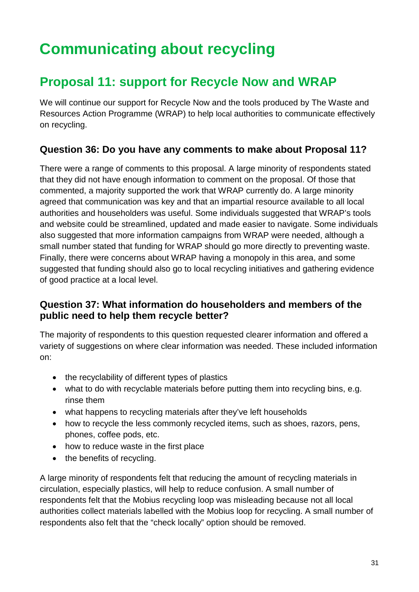# <span id="page-30-0"></span>**Communicating about recycling**

# <span id="page-30-1"></span>**Proposal 11: support for Recycle Now and WRAP**

We will continue our support for Recycle Now and the tools produced by The Waste and Resources Action Programme (WRAP) to help local authorities to communicate effectively on recycling.

# <span id="page-30-2"></span>**Question 36: Do you have any comments to make about Proposal 11?**

There were a range of comments to this proposal. A large minority of respondents stated that they did not have enough information to comment on the proposal. Of those that commented, a majority supported the work that WRAP currently do. A large minority agreed that communication was key and that an impartial resource available to all local authorities and householders was useful. Some individuals suggested that WRAP's tools and website could be streamlined, updated and made easier to navigate. Some individuals also suggested that more information campaigns from WRAP were needed, although a small number stated that funding for WRAP should go more directly to preventing waste. Finally, there were concerns about WRAP having a monopoly in this area, and some suggested that funding should also go to local recycling initiatives and gathering evidence of good practice at a local level.

# <span id="page-30-3"></span>**Question 37: What information do householders and members of the public need to help them recycle better?**

The majority of respondents to this question requested clearer information and offered a variety of suggestions on where clear information was needed. These included information on:

- the recyclability of different types of plastics
- what to do with recyclable materials before putting them into recycling bins, e.g. rinse them
- what happens to recycling materials after they've left households
- how to recycle the less commonly recycled items, such as shoes, razors, pens, phones, coffee pods, etc.
- how to reduce waste in the first place
- the benefits of recycling.

A large minority of respondents felt that reducing the amount of recycling materials in circulation, especially plastics, will help to reduce confusion. A small number of respondents felt that the Mobius recycling loop was misleading because not all local authorities collect materials labelled with the Mobius loop for recycling. A small number of respondents also felt that the "check locally" option should be removed.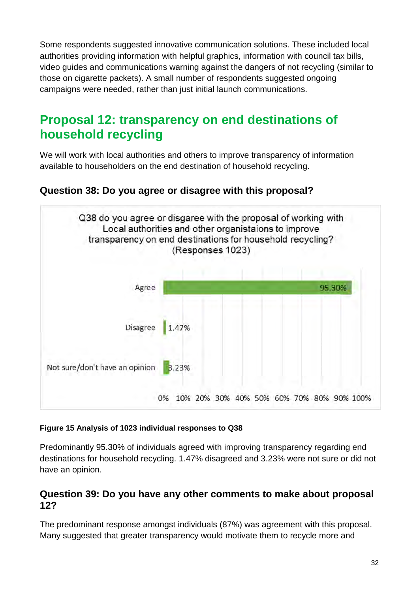Some respondents suggested innovative communication solutions. These included local authorities providing information with helpful graphics, information with council tax bills, video guides and communications warning against the dangers of not recycling (similar to those on cigarette packets). A small number of respondents suggested ongoing campaigns were needed, rather than just initial launch communications.

# <span id="page-31-0"></span>**Proposal 12: transparency on end destinations of household recycling**

We will work with local authorities and others to improve transparency of information available to householders on the end destination of household recycling.

# <span id="page-31-1"></span>**Question 38: Do you agree or disagree with this proposal?**



#### **Figure 15 Analysis of 1023 individual responses to Q38**

Predominantly 95.30% of individuals agreed with improving transparency regarding end destinations for household recycling. 1.47% disagreed and 3.23% were not sure or did not have an opinion.

### <span id="page-31-2"></span>**Question 39: Do you have any other comments to make about proposal 12?**

The predominant response amongst individuals (87%) was agreement with this proposal. Many suggested that greater transparency would motivate them to recycle more and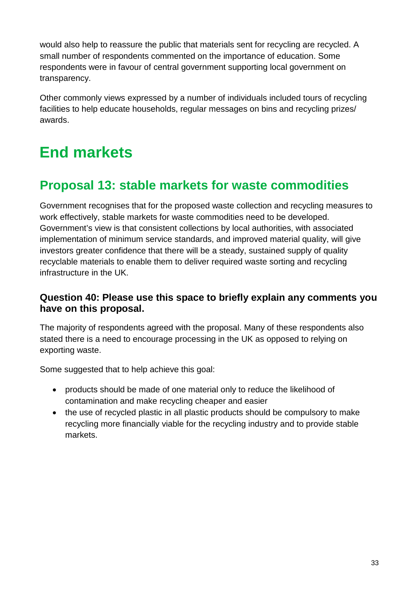would also help to reassure the public that materials sent for recycling are recycled. A small number of respondents commented on the importance of education. Some respondents were in favour of central government supporting local government on transparency.

Other commonly views expressed by a number of individuals included tours of recycling facilities to help educate households, regular messages on bins and recycling prizes/ awards.

# <span id="page-32-0"></span>**End markets**

# <span id="page-32-1"></span>**Proposal 13: stable markets for waste commodities**

Government recognises that for the proposed waste collection and recycling measures to work effectively, stable markets for waste commodities need to be developed. Government's view is that consistent collections by local authorities, with associated implementation of minimum service standards, and improved material quality, will give investors greater confidence that there will be a steady, sustained supply of quality recyclable materials to enable them to deliver required waste sorting and recycling infrastructure in the UK.

### <span id="page-32-2"></span>**Question 40: Please use this space to briefly explain any comments you have on this proposal.**

The majority of respondents agreed with the proposal. Many of these respondents also stated there is a need to encourage processing in the UK as opposed to relying on exporting waste.

Some suggested that to help achieve this goal:

- products should be made of one material only to reduce the likelihood of contamination and make recycling cheaper and easier
- the use of recycled plastic in all plastic products should be compulsory to make recycling more financially viable for the recycling industry and to provide stable markets.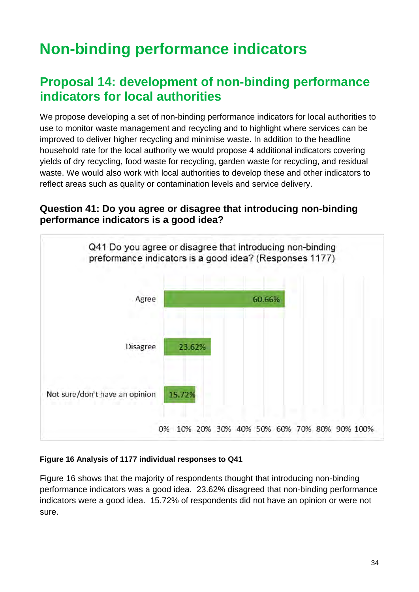# <span id="page-33-0"></span>**Non-binding performance indicators**

# <span id="page-33-1"></span>**Proposal 14: development of non-binding performance indicators for local authorities**

We propose developing a set of non-binding performance indicators for local authorities to use to monitor waste management and recycling and to highlight where services can be improved to deliver higher recycling and minimise waste. In addition to the headline household rate for the local authority we would propose 4 additional indicators covering yields of dry recycling, food waste for recycling, garden waste for recycling, and residual waste. We would also work with local authorities to develop these and other indicators to reflect areas such as quality or contamination levels and service delivery.

## <span id="page-33-2"></span>**Question 41: Do you agree or disagree that introducing non-binding performance indicators is a good idea?**



#### **Figure 16 Analysis of 1177 individual responses to Q41**

Figure 16 shows that the majority of respondents thought that introducing non-binding performance indicators was a good idea. 23.62% disagreed that non-binding performance indicators were a good idea. 15.72% of respondents did not have an opinion or were not sure.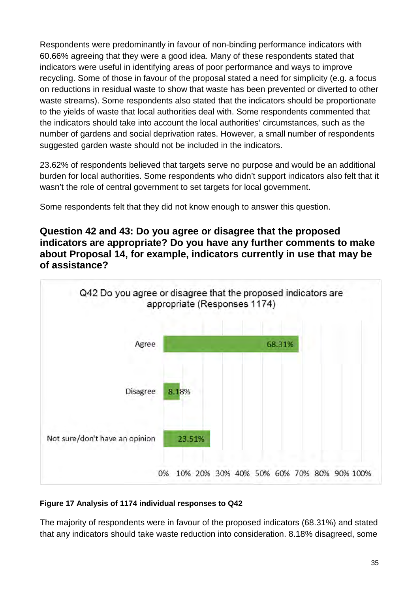Respondents were predominantly in favour of non-binding performance indicators with 60.66% agreeing that they were a good idea. Many of these respondents stated that indicators were useful in identifying areas of poor performance and ways to improve recycling. Some of those in favour of the proposal stated a need for simplicity (e.g. a focus on reductions in residual waste to show that waste has been prevented or diverted to other waste streams). Some respondents also stated that the indicators should be proportionate to the yields of waste that local authorities deal with. Some respondents commented that the indicators should take into account the local authorities' circumstances, such as the number of gardens and social deprivation rates. However, a small number of respondents suggested garden waste should not be included in the indicators.

23.62% of respondents believed that targets serve no purpose and would be an additional burden for local authorities. Some respondents who didn't support indicators also felt that it wasn't the role of central government to set targets for local government.

Some respondents felt that they did not know enough to answer this question.

<span id="page-34-0"></span>**Question 42 and 43: Do you agree or disagree that the proposed indicators are appropriate? Do you have any further comments to make about Proposal 14, for example, indicators currently in use that may be of assistance?** 



#### **Figure 17 Analysis of 1174 individual responses to Q42**

The majority of respondents were in favour of the proposed indicators (68.31%) and stated that any indicators should take waste reduction into consideration. 8.18% disagreed, some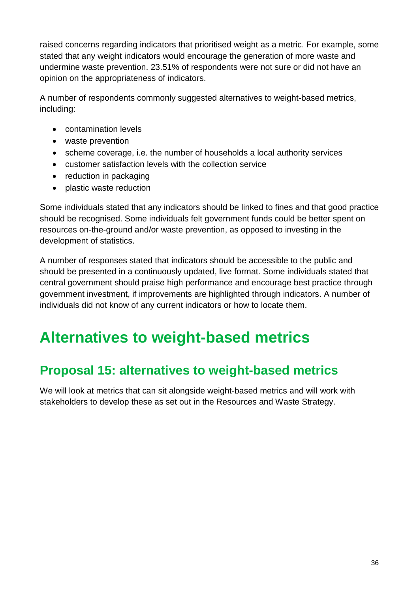raised concerns regarding indicators that prioritised weight as a metric. For example, some stated that any weight indicators would encourage the generation of more waste and undermine waste prevention. 23.51% of respondents were not sure or did not have an opinion on the appropriateness of indicators.

A number of respondents commonly suggested alternatives to weight-based metrics, including:

- contamination levels
- waste prevention
- scheme coverage, i.e. the number of households a local authority services
- customer satisfaction levels with the collection service
- reduction in packaging
- plastic waste reduction

Some individuals stated that any indicators should be linked to fines and that good practice should be recognised. Some individuals felt government funds could be better spent on resources on-the-ground and/or waste prevention, as opposed to investing in the development of statistics.

A number of responses stated that indicators should be accessible to the public and should be presented in a continuously updated, live format. Some individuals stated that central government should praise high performance and encourage best practice through government investment, if improvements are highlighted through indicators. A number of individuals did not know of any current indicators or how to locate them.

# <span id="page-35-0"></span>**Alternatives to weight-based metrics**

# <span id="page-35-1"></span>**Proposal 15: alternatives to weight-based metrics**

We will look at metrics that can sit alongside weight-based metrics and will work with stakeholders to develop these as set out in the Resources and Waste Strategy.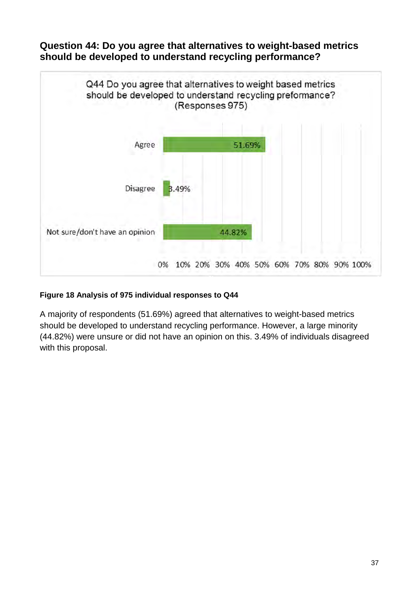## <span id="page-36-0"></span>**Question 44: Do you agree that alternatives to weight-based metrics should be developed to understand recycling performance?**



#### **Figure 18 Analysis of 975 individual responses to Q44**

A majority of respondents (51.69%) agreed that alternatives to weight-based metrics should be developed to understand recycling performance. However, a large minority (44.82%) were unsure or did not have an opinion on this. 3.49% of individuals disagreed with this proposal.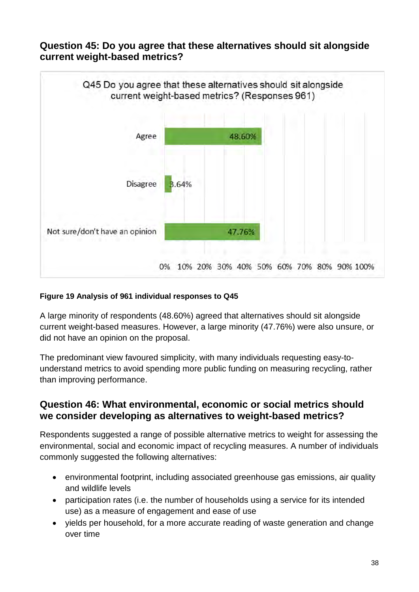## <span id="page-37-0"></span>**Question 45: Do you agree that these alternatives should sit alongside current weight-based metrics?**



#### **Figure 19 Analysis of 961 individual responses to Q45**

A large minority of respondents (48.60%) agreed that alternatives should sit alongside current weight-based measures. However, a large minority (47.76%) were also unsure, or did not have an opinion on the proposal.

The predominant view favoured simplicity, with many individuals requesting easy-tounderstand metrics to avoid spending more public funding on measuring recycling, rather than improving performance.

## <span id="page-37-1"></span>**Question 46: What environmental, economic or social metrics should we consider developing as alternatives to weight-based metrics?**

Respondents suggested a range of possible alternative metrics to weight for assessing the environmental, social and economic impact of recycling measures. A number of individuals commonly suggested the following alternatives:

- environmental footprint, including associated greenhouse gas emissions, air quality and wildlife levels
- participation rates (i.e. the number of households using a service for its intended use) as a measure of engagement and ease of use
- yields per household, for a more accurate reading of waste generation and change over time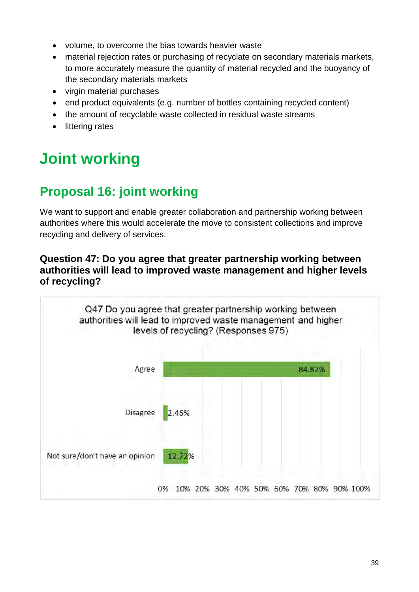- volume, to overcome the bias towards heavier waste
- material rejection rates or purchasing of recyclate on secondary materials markets, to more accurately measure the quantity of material recycled and the buoyancy of the secondary materials markets
- virgin material purchases
- end product equivalents (e.g. number of bottles containing recycled content)
- the amount of recyclable waste collected in residual waste streams
- littering rates

# <span id="page-38-0"></span>**Joint working**

# <span id="page-38-1"></span>**Proposal 16: joint working**

We want to support and enable greater collaboration and partnership working between authorities where this would accelerate the move to consistent collections and improve recycling and delivery of services.

## <span id="page-38-2"></span>**Question 47: Do you agree that greater partnership working between authorities will lead to improved waste management and higher levels of recycling?**

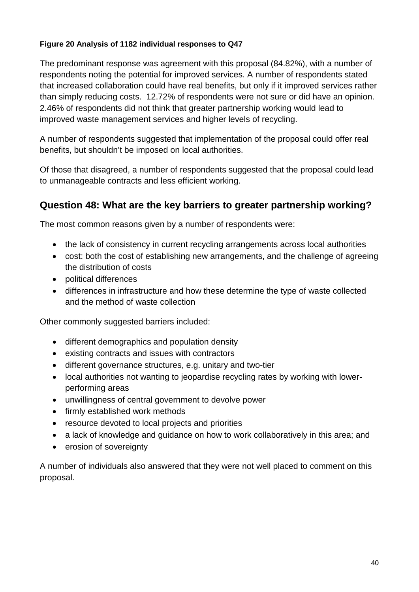#### **Figure 20 Analysis of 1182 individual responses to Q47**

The predominant response was agreement with this proposal (84.82%), with a number of respondents noting the potential for improved services. A number of respondents stated that increased collaboration could have real benefits, but only if it improved services rather than simply reducing costs. 12.72% of respondents were not sure or did have an opinion. 2.46% of respondents did not think that greater partnership working would lead to improved waste management services and higher levels of recycling.

A number of respondents suggested that implementation of the proposal could offer real benefits, but shouldn't be imposed on local authorities.

Of those that disagreed, a number of respondents suggested that the proposal could lead to unmanageable contracts and less efficient working.

# <span id="page-39-0"></span>**Question 48: What are the key barriers to greater partnership working?**

The most common reasons given by a number of respondents were:

- the lack of consistency in current recycling arrangements across local authorities
- cost: both the cost of establishing new arrangements, and the challenge of agreeing the distribution of costs
- political differences
- differences in infrastructure and how these determine the type of waste collected and the method of waste collection

Other commonly suggested barriers included:

- different demographics and population density
- existing contracts and issues with contractors
- different governance structures, e.g. unitary and two-tier
- local authorities not wanting to jeopardise recycling rates by working with lowerperforming areas
- unwillingness of central government to devolve power
- firmly established work methods
- resource devoted to local projects and priorities
- a lack of knowledge and guidance on how to work collaboratively in this area; and
- erosion of sovereignty

A number of individuals also answered that they were not well placed to comment on this proposal.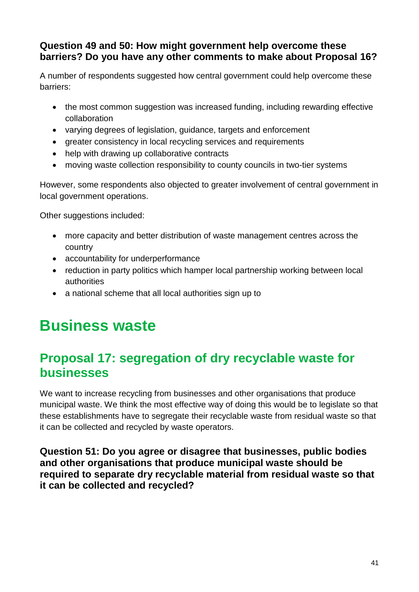## <span id="page-40-0"></span>**Question 49 and 50: How might government help overcome these barriers? Do you have any other comments to make about Proposal 16?**

A number of respondents suggested how central government could help overcome these barriers:

- the most common suggestion was increased funding, including rewarding effective collaboration
- varying degrees of legislation, guidance, targets and enforcement
- greater consistency in local recycling services and requirements
- help with drawing up collaborative contracts
- moving waste collection responsibility to county councils in two-tier systems

However, some respondents also objected to greater involvement of central government in local government operations.

Other suggestions included:

- more capacity and better distribution of waste management centres across the country
- accountability for underperformance
- reduction in party politics which hamper local partnership working between local authorities
- a national scheme that all local authorities sign up to

# <span id="page-40-1"></span>**Business waste**

# <span id="page-40-2"></span>**Proposal 17: segregation of dry recyclable waste for businesses**

We want to increase recycling from businesses and other organisations that produce municipal waste. We think the most effective way of doing this would be to legislate so that these establishments have to segregate their recyclable waste from residual waste so that it can be collected and recycled by waste operators.

<span id="page-40-3"></span>**Question 51: Do you agree or disagree that businesses, public bodies and other organisations that produce municipal waste should be required to separate dry recyclable material from residual waste so that it can be collected and recycled?**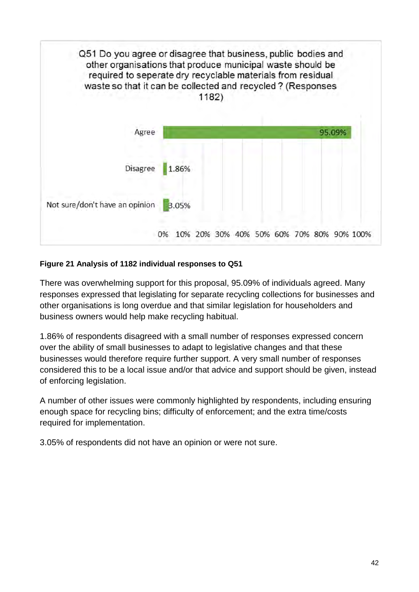

#### **Figure 21 Analysis of 1182 individual responses to Q51**

There was overwhelming support for this proposal, 95.09% of individuals agreed. Many responses expressed that legislating for separate recycling collections for businesses and other organisations is long overdue and that similar legislation for householders and business owners would help make recycling habitual.

1.86% of respondents disagreed with a small number of responses expressed concern over the ability of small businesses to adapt to legislative changes and that these businesses would therefore require further support. A very small number of responses considered this to be a local issue and/or that advice and support should be given, instead of enforcing legislation.

A number of other issues were commonly highlighted by respondents, including ensuring enough space for recycling bins; difficulty of enforcement; and the extra time/costs required for implementation.

3.05% of respondents did not have an opinion or were not sure.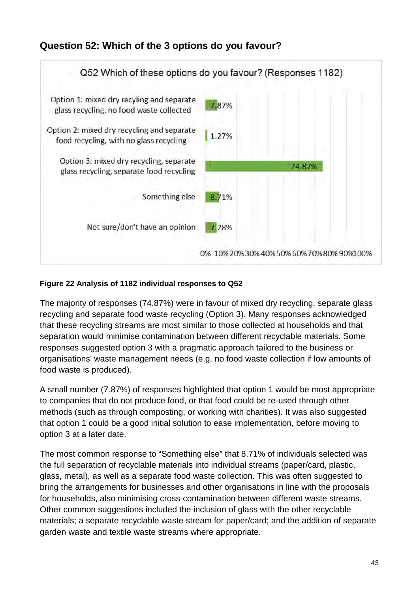# <span id="page-42-0"></span>**Question 52: Which of the 3 options do you favour?**



#### **Figure 22 Analysis of 1182 individual responses to Q52**

The majority of responses (74.87%) were in favour of mixed dry recycling, separate glass recycling and separate food waste recycling (Option 3). Many responses acknowledged that these recycling streams are most similar to those collected at households and that separation would minimise contamination between different recyclable materials. Some responses suggested option 3 with a pragmatic approach tailored to the business or organisations' waste management needs (e.g. no food waste collection if low amounts of food waste is produced).

A small number (7.87%) of responses highlighted that option 1 would be most appropriate to companies that do not produce food, or that food could be re-used through other methods (such as through composting, or working with charities). It was also suggested that option 1 could be a good initial solution to ease implementation, before moving to option 3 at a later date.

The most common response to "Something else" that 8.71% of individuals selected was the full separation of recyclable materials into individual streams (paper/card, plastic, glass, metal), as well as a separate food waste collection. This was often suggested to bring the arrangements for businesses and other organisations in line with the proposals for households, also minimising cross-contamination between different waste streams. Other common suggestions included the inclusion of glass with the other recyclable materials; a separate recyclable waste stream for paper/card; and the addition of separate garden waste and textile waste streams where appropriate.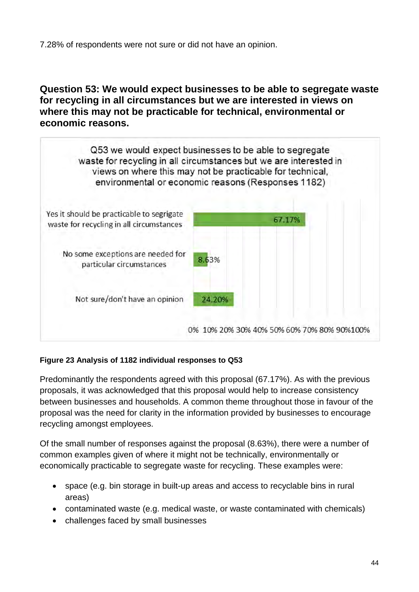7.28% of respondents were not sure or did not have an opinion.

<span id="page-43-0"></span>**Question 53: We would expect businesses to be able to segregate waste for recycling in all circumstances but we are interested in views on where this may not be practicable for technical, environmental or economic reasons.**



#### **Figure 23 Analysis of 1182 individual responses to Q53**

Predominantly the respondents agreed with this proposal (67.17%). As with the previous proposals, it was acknowledged that this proposal would help to increase consistency between businesses and households. A common theme throughout those in favour of the proposal was the need for clarity in the information provided by businesses to encourage recycling amongst employees.

Of the small number of responses against the proposal (8.63%), there were a number of common examples given of where it might not be technically, environmentally or economically practicable to segregate waste for recycling. These examples were:

- space (e.g. bin storage in built-up areas and access to recyclable bins in rural areas)
- contaminated waste (e.g. medical waste, or waste contaminated with chemicals)
- challenges faced by small businesses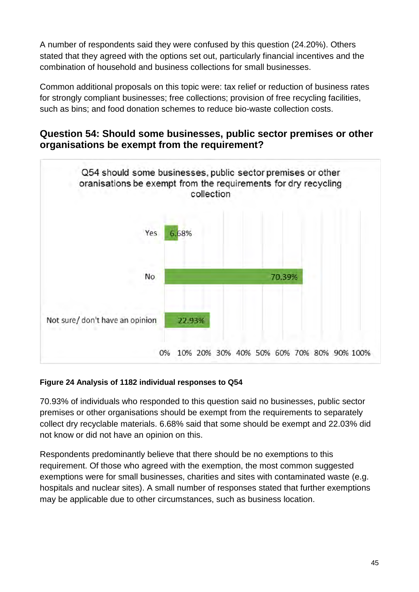A number of respondents said they were confused by this question (24.20%). Others stated that they agreed with the options set out, particularly financial incentives and the combination of household and business collections for small businesses.

Common additional proposals on this topic were: tax relief or reduction of business rates for strongly compliant businesses; free collections; provision of free recycling facilities, such as bins; and food donation schemes to reduce bio-waste collection costs.

## <span id="page-44-0"></span>**Question 54: Should some businesses, public sector premises or other organisations be exempt from the requirement?**



#### **Figure 24 Analysis of 1182 individual responses to Q54**

70.93% of individuals who responded to this question said no businesses, public sector premises or other organisations should be exempt from the requirements to separately collect dry recyclable materials. 6.68% said that some should be exempt and 22.03% did not know or did not have an opinion on this.

Respondents predominantly believe that there should be no exemptions to this requirement. Of those who agreed with the exemption, the most common suggested exemptions were for small businesses, charities and sites with contaminated waste (e.g. hospitals and nuclear sites). A small number of responses stated that further exemptions may be applicable due to other circumstances, such as business location.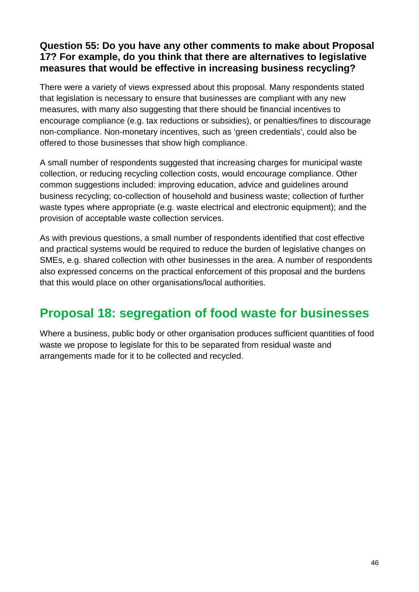# <span id="page-45-0"></span>**Question 55: Do you have any other comments to make about Proposal 17? For example, do you think that there are alternatives to legislative measures that would be effective in increasing business recycling?**

There were a variety of views expressed about this proposal. Many respondents stated that legislation is necessary to ensure that businesses are compliant with any new measures, with many also suggesting that there should be financial incentives to encourage compliance (e.g. tax reductions or subsidies), or penalties/fines to discourage non-compliance. Non-monetary incentives, such as 'green credentials', could also be offered to those businesses that show high compliance.

A small number of respondents suggested that increasing charges for municipal waste collection, or reducing recycling collection costs, would encourage compliance. Other common suggestions included: improving education, advice and guidelines around business recycling; co-collection of household and business waste; collection of further waste types where appropriate (e.g. waste electrical and electronic equipment); and the provision of acceptable waste collection services.

As with previous questions, a small number of respondents identified that cost effective and practical systems would be required to reduce the burden of legislative changes on SMEs, e.g. shared collection with other businesses in the area. A number of respondents also expressed concerns on the practical enforcement of this proposal and the burdens that this would place on other organisations/local authorities.

# <span id="page-45-1"></span>**Proposal 18: segregation of food waste for businesses**

Where a business, public body or other organisation produces sufficient quantities of food waste we propose to legislate for this to be separated from residual waste and arrangements made for it to be collected and recycled.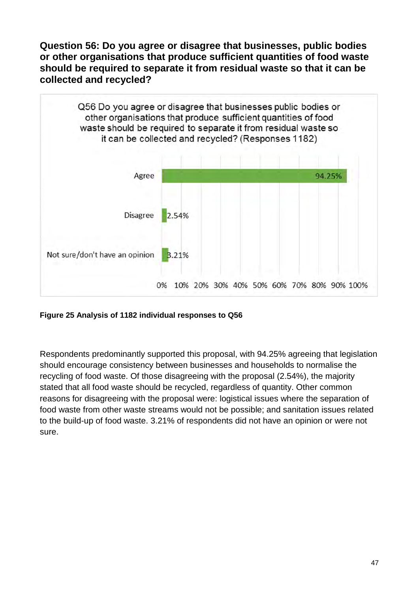<span id="page-46-0"></span>**Question 56: Do you agree or disagree that businesses, public bodies or other organisations that produce sufficient quantities of food waste should be required to separate it from residual waste so that it can be collected and recycled?**



**Figure 25 Analysis of 1182 individual responses to Q56**

Respondents predominantly supported this proposal, with 94.25% agreeing that legislation should encourage consistency between businesses and households to normalise the recycling of food waste. Of those disagreeing with the proposal (2.54%), the majority stated that all food waste should be recycled, regardless of quantity. Other common reasons for disagreeing with the proposal were: logistical issues where the separation of food waste from other waste streams would not be possible; and sanitation issues related to the build-up of food waste. 3.21% of respondents did not have an opinion or were not sure.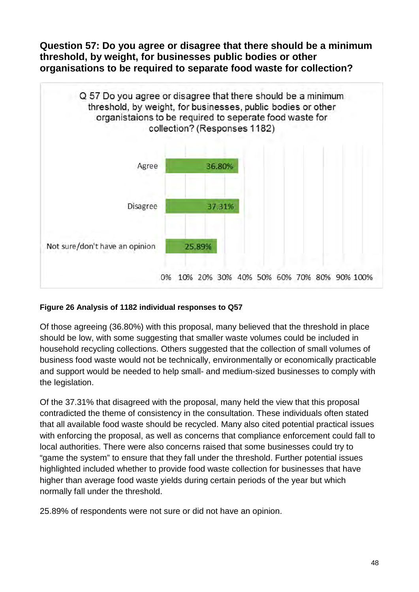<span id="page-47-0"></span>**Question 57: Do you agree or disagree that there should be a minimum threshold, by weight, for businesses public bodies or other organisations to be required to separate food waste for collection?**



#### **Figure 26 Analysis of 1182 individual responses to Q57**

Of those agreeing (36.80%) with this proposal, many believed that the threshold in place should be low, with some suggesting that smaller waste volumes could be included in household recycling collections. Others suggested that the collection of small volumes of business food waste would not be technically, environmentally or economically practicable and support would be needed to help small- and medium-sized businesses to comply with the legislation.

Of the 37.31% that disagreed with the proposal, many held the view that this proposal contradicted the theme of consistency in the consultation. These individuals often stated that all available food waste should be recycled. Many also cited potential practical issues with enforcing the proposal, as well as concerns that compliance enforcement could fall to local authorities. There were also concerns raised that some businesses could try to "game the system" to ensure that they fall under the threshold. Further potential issues highlighted included whether to provide food waste collection for businesses that have higher than average food waste yields during certain periods of the year but which normally fall under the threshold.

25.89% of respondents were not sure or did not have an opinion.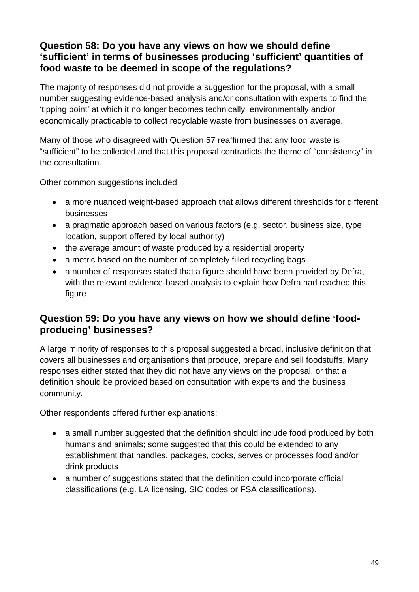# <span id="page-48-0"></span>**Question 58: Do you have any views on how we should define 'sufficient' in terms of businesses producing 'sufficient' quantities of food waste to be deemed in scope of the regulations?**

The majority of responses did not provide a suggestion for the proposal, with a small number suggesting evidence-based analysis and/or consultation with experts to find the 'tipping point' at which it no longer becomes technically, environmentally and/or economically practicable to collect recyclable waste from businesses on average.

Many of those who disagreed with Question 57 reaffirmed that any food waste is "sufficient" to be collected and that this proposal contradicts the theme of "consistency" in the consultation.

Other common suggestions included:

- a more nuanced weight-based approach that allows different thresholds for different businesses
- a pragmatic approach based on various factors (e.g. sector, business size, type, location, support offered by local authority)
- the average amount of waste produced by a residential property
- a metric based on the number of completely filled recycling bags
- a number of responses stated that a figure should have been provided by Defra, with the relevant evidence-based analysis to explain how Defra had reached this figure

## <span id="page-48-1"></span>**Question 59: Do you have any views on how we should define 'foodproducing' businesses?**

A large minority of responses to this proposal suggested a broad, inclusive definition that covers all businesses and organisations that produce, prepare and sell foodstuffs. Many responses either stated that they did not have any views on the proposal, or that a definition should be provided based on consultation with experts and the business community.

Other respondents offered further explanations:

- a small number suggested that the definition should include food produced by both humans and animals; some suggested that this could be extended to any establishment that handles, packages, cooks, serves or processes food and/or drink products
- a number of suggestions stated that the definition could incorporate official classifications (e.g. LA licensing, SIC codes or FSA classifications).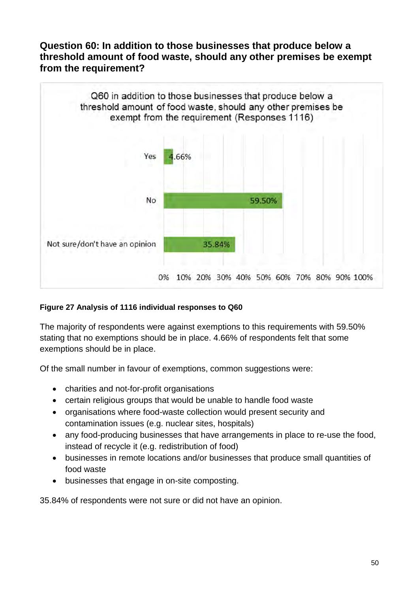### <span id="page-49-0"></span>**Question 60: In addition to those businesses that produce below a threshold amount of food waste, should any other premises be exempt from the requirement?**



#### **Figure 27 Analysis of 1116 individual responses to Q60**

The majority of respondents were against exemptions to this requirements with 59.50% stating that no exemptions should be in place. 4.66% of respondents felt that some exemptions should be in place.

Of the small number in favour of exemptions, common suggestions were:

- charities and not-for-profit organisations
- certain religious groups that would be unable to handle food waste
- organisations where food-waste collection would present security and contamination issues (e.g. nuclear sites, hospitals)
- any food-producing businesses that have arrangements in place to re-use the food, instead of recycle it (e.g. redistribution of food)
- businesses in remote locations and/or businesses that produce small quantities of food waste
- businesses that engage in on-site composting.

35.84% of respondents were not sure or did not have an opinion.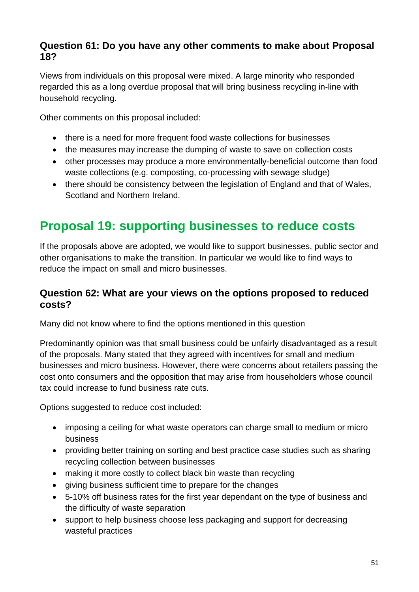# <span id="page-50-0"></span>**Question 61: Do you have any other comments to make about Proposal 18?**

Views from individuals on this proposal were mixed. A large minority who responded regarded this as a long overdue proposal that will bring business recycling in-line with household recycling.

Other comments on this proposal included:

- there is a need for more frequent food waste collections for businesses
- the measures may increase the dumping of waste to save on collection costs
- other processes may produce a more environmentally-beneficial outcome than food waste collections (e.g. composting, co-processing with sewage sludge)
- there should be consistency between the legislation of England and that of Wales, Scotland and Northern Ireland.

# <span id="page-50-1"></span>**Proposal 19: supporting businesses to reduce costs**

If the proposals above are adopted, we would like to support businesses, public sector and other organisations to make the transition. In particular we would like to find ways to reduce the impact on small and micro businesses.

## <span id="page-50-2"></span>**Question 62: What are your views on the options proposed to reduced costs?**

Many did not know where to find the options mentioned in this question

Predominantly opinion was that small business could be unfairly disadvantaged as a result of the proposals. Many stated that they agreed with incentives for small and medium businesses and micro business. However, there were concerns about retailers passing the cost onto consumers and the opposition that may arise from householders whose council tax could increase to fund business rate cuts.

Options suggested to reduce cost included:

- imposing a ceiling for what waste operators can charge small to medium or micro business
- providing better training on sorting and best practice case studies such as sharing recycling collection between businesses
- making it more costly to collect black bin waste than recycling
- giving business sufficient time to prepare for the changes
- 5-10% off business rates for the first year dependant on the type of business and the difficulty of waste separation
- support to help business choose less packaging and support for decreasing wasteful practices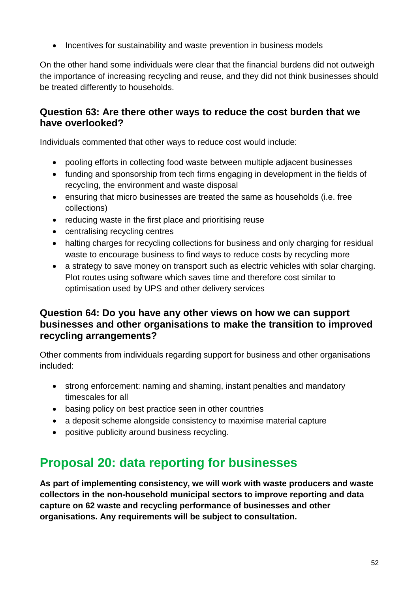• Incentives for sustainability and waste prevention in business models

On the other hand some individuals were clear that the financial burdens did not outweigh the importance of increasing recycling and reuse, and they did not think businesses should be treated differently to households.

### <span id="page-51-0"></span>**Question 63: Are there other ways to reduce the cost burden that we have overlooked?**

Individuals commented that other ways to reduce cost would include:

- pooling efforts in collecting food waste between multiple adjacent businesses
- funding and sponsorship from tech firms engaging in development in the fields of recycling, the environment and waste disposal
- ensuring that micro businesses are treated the same as households (i.e. free collections)
- reducing waste in the first place and prioritising reuse
- centralising recycling centres
- halting charges for recycling collections for business and only charging for residual waste to encourage business to find ways to reduce costs by recycling more
- a strategy to save money on transport such as electric vehicles with solar charging. Plot routes using software which saves time and therefore cost similar to optimisation used by UPS and other delivery services

### <span id="page-51-1"></span>**Question 64: Do you have any other views on how we can support businesses and other organisations to make the transition to improved recycling arrangements?**

Other comments from individuals regarding support for business and other organisations included:

- strong enforcement: naming and shaming, instant penalties and mandatory timescales for all
- basing policy on best practice seen in other countries
- a deposit scheme alongside consistency to maximise material capture
- positive publicity around business recycling.

# <span id="page-51-2"></span>**Proposal 20: data reporting for businesses**

**As part of implementing consistency, we will work with waste producers and waste collectors in the non-household municipal sectors to improve reporting and data capture on 62 waste and recycling performance of businesses and other organisations. Any requirements will be subject to consultation.**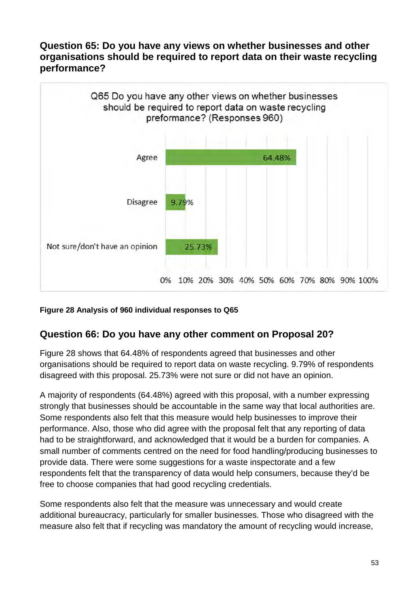### <span id="page-52-0"></span>**Question 65: Do you have any views on whether businesses and other organisations should be required to report data on their waste recycling performance?**



#### **Figure 28 Analysis of 960 individual responses to Q65**

## <span id="page-52-1"></span>**Question 66: Do you have any other comment on Proposal 20?**

Figure 28 shows that 64.48% of respondents agreed that businesses and other organisations should be required to report data on waste recycling. 9.79% of respondents disagreed with this proposal. 25.73% were not sure or did not have an opinion.

A majority of respondents (64.48%) agreed with this proposal, with a number expressing strongly that businesses should be accountable in the same way that local authorities are. Some respondents also felt that this measure would help businesses to improve their performance. Also, those who did agree with the proposal felt that any reporting of data had to be straightforward, and acknowledged that it would be a burden for companies. A small number of comments centred on the need for food handling/producing businesses to provide data. There were some suggestions for a waste inspectorate and a few respondents felt that the transparency of data would help consumers, because they'd be free to choose companies that had good recycling credentials.

Some respondents also felt that the measure was unnecessary and would create additional bureaucracy, particularly for smaller businesses. Those who disagreed with the measure also felt that if recycling was mandatory the amount of recycling would increase,